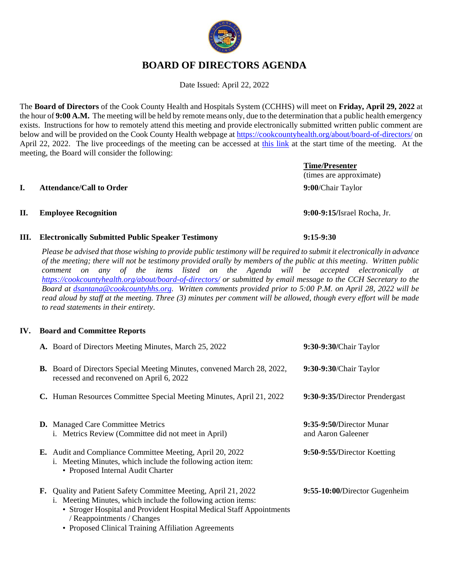# **BOARD OF DIRECTORS AGENDA**

Date Issued: April 22, 2022

The **Board of Directors** of the Cook County Health and Hospitals System (CCHHS) will meet on **Friday, April 29, 2022** at the hour of **9:00 A.M.** The meeting will be held by remote means only, due to the determination that a public health emergency exists. Instructions for how to remotely attend this meeting and provide electronically submitted written public comment are below and will be provided on the Cook County Health webpage a[t https://cookcountyhealth.org/about/board-of-directors/](https://cookcountyhealth.org/about/board-of-directors/) on April 22, 2022. The live proceedings of the meeting can be accessed at [this link](https://www.youtube.com/channel/UCj9DT_l0RU-MVC-_u-tOkZA) at the start time of the meeting. At the meeting, the Board will consider the following:

#### **I. Attendance/Call to Order 9:00**/Chair Taylor

#### **II. Employee Recognition 9:00-9:15/**Israel Rocha, Jr.

#### **III. Electronically Submitted Public Speaker Testimony 9:15-9:30**

*Please be advised that those wishing to provide public testimony will be required to submit it electronically in advance of the meeting; there will not be testimony provided orally by members of the public at this meeting. Written public comment on any of the items listed on the Agenda will be accepted electronically at <https://cookcountyhealth.org/about/board-of-directors/> or submitted by email message to the CCH Secretary to the Board at [dsantana@cookcountyhhs.org.](mailto:dsantana@cookcountyhhs.org) Written comments provided prior to 5:00 P.M. on April 28, 2022 will be read aloud by staff at the meeting. Three (3) minutes per comment will be allowed, though every effort will be made to read statements in their entirety.*

#### **IV. Board and Committee Reports**

| A. Board of Directors Meeting Minutes, March 25, 2022                                                                                                                                                                                                                                         | 9:30-9:30/Chair Taylor                         |
|-----------------------------------------------------------------------------------------------------------------------------------------------------------------------------------------------------------------------------------------------------------------------------------------------|------------------------------------------------|
| <b>B.</b> Board of Directors Special Meeting Minutes, convened March 28, 2022,<br>recessed and reconvened on April 6, 2022                                                                                                                                                                    | 9:30-9:30/Chair Taylor                         |
| C. Human Resources Committee Special Meeting Minutes, April 21, 2022                                                                                                                                                                                                                          | 9:30-9:35/Director Prendergast                 |
| <b>D.</b> Managed Care Committee Metrics<br>i. Metrics Review (Committee did not meet in April)                                                                                                                                                                                               | 9:35-9:50/Director Munar<br>and Aaron Galeener |
| E. Audit and Compliance Committee Meeting, April 20, 2022<br>i. Meeting Minutes, which include the following action item:<br>• Proposed Internal Audit Charter                                                                                                                                | 9:50-9:55/Director Koetting                    |
| F. Quality and Patient Safety Committee Meeting, April 21, 2022<br>i. Meeting Minutes, which include the following action items:<br>• Stroger Hospital and Provident Hospital Medical Staff Appointments<br>/ Reappointments / Changes<br>• Proposed Clinical Training Affiliation Agreements | 9:55-10:00/Director Gugenheim                  |



# (times are approximate)

**Time/Presenter**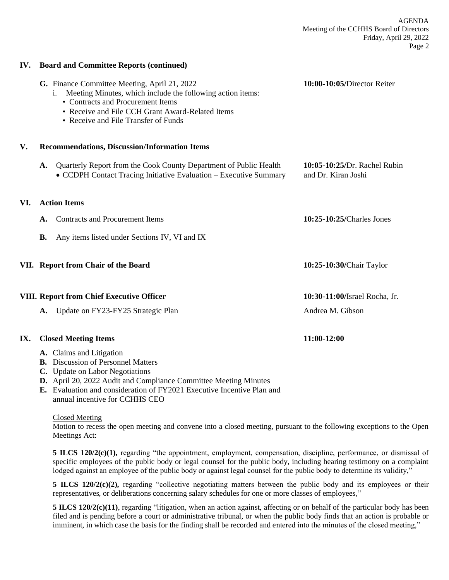AGENDA Meeting of the CCHHS Board of Directors Friday, April 29, 2022 Page 2

#### **IV. Board and Committee Reports (continued)**

|     |           | G. Finance Committee Meeting, April 21, 2022<br>Meeting Minutes, which include the following action items:<br>1.<br>• Contracts and Procurement Items<br>• Receive and File CCH Grant Award-Related Items<br>• Receive and File Transfer of Funds | 10:00-10:05/Director Reiter                         |
|-----|-----------|---------------------------------------------------------------------------------------------------------------------------------------------------------------------------------------------------------------------------------------------------|-----------------------------------------------------|
| V.  |           | <b>Recommendations, Discussion/Information Items</b>                                                                                                                                                                                              |                                                     |
|     | A.        | Quarterly Report from the Cook County Department of Public Health<br>• CCDPH Contact Tracing Initiative Evaluation – Executive Summary                                                                                                            | 10:05-10:25/Dr. Rachel Rubin<br>and Dr. Kiran Joshi |
| VI. |           | <b>Action Items</b>                                                                                                                                                                                                                               |                                                     |
|     | A.        | <b>Contracts and Procurement Items</b>                                                                                                                                                                                                            | 10:25-10:25/Charles Jones                           |
|     | <b>B.</b> | Any items listed under Sections IV, VI and IX                                                                                                                                                                                                     |                                                     |
|     |           | VII. Report from Chair of the Board                                                                                                                                                                                                               | 10:25-10:30/Chair Taylor                            |
|     |           | <b>VIII. Report from Chief Executive Officer</b>                                                                                                                                                                                                  | 10:30-11:00/Israel Rocha, Jr.                       |
|     | A.        | Update on FY23-FY25 Strategic Plan                                                                                                                                                                                                                | Andrea M. Gibson                                    |
| IX. |           | <b>Closed Meeting Items</b>                                                                                                                                                                                                                       | 11:00-12:00                                         |
|     |           | A. Claims and Litigation<br><b>B.</b> Discussion of Personnel Matters                                                                                                                                                                             |                                                     |

- **C.** Update on Labor Negotiations
- **D.** April 20, 2022 Audit and Compliance Committee Meeting Minutes
- **E.** Evaluation and consideration of FY2021 Executive Incentive Plan and annual incentive for CCHHS CEO

#### Closed Meeting

Motion to recess the open meeting and convene into a closed meeting, pursuant to the following exceptions to the Open Meetings Act:

**5 ILCS 120/2(c)(1),** regarding "the appointment, employment, compensation, discipline, performance, or dismissal of specific employees of the public body or legal counsel for the public body, including hearing testimony on a complaint lodged against an employee of the public body or against legal counsel for the public body to determine its validity,"

**5 ILCS 120/2(c)(2),** regarding "collective negotiating matters between the public body and its employees or their representatives, or deliberations concerning salary schedules for one or more classes of employees,"

**5 ILCS 120/2(c)(11)**, regarding "litigation, when an action against, affecting or on behalf of the particular body has been filed and is pending before a court or administrative tribunal, or when the public body finds that an action is probable or imminent, in which case the basis for the finding shall be recorded and entered into the minutes of the closed meeting,"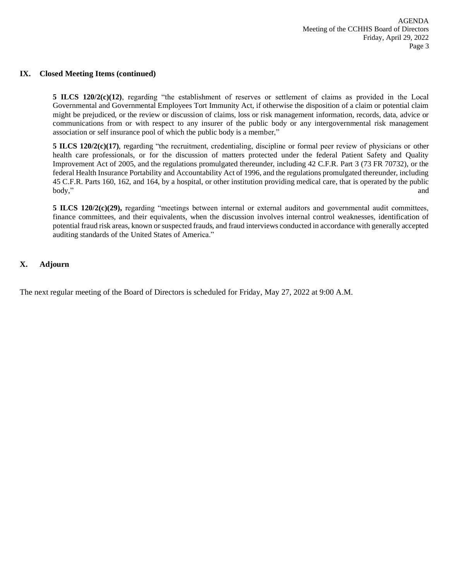#### **IX. Closed Meeting Items (continued)**

**5 ILCS 120/2(c)(12)**, regarding "the establishment of reserves or settlement of claims as provided in the Local Governmental and Governmental Employees Tort Immunity Act, if otherwise the disposition of a claim or potential claim might be prejudiced, or the review or discussion of claims, loss or risk management information, records, data, advice or communications from or with respect to any insurer of the public body or any intergovernmental risk management association or self insurance pool of which the public body is a member,"

**5 ILCS 120/2(c)(17)**, regarding "the recruitment, credentialing, discipline or formal peer review of physicians or other health care professionals, or for the discussion of matters protected under the federal Patient Safety and Quality Improvement Act of 2005, and the regulations promulgated thereunder, including 42 C.F.R. Part 3 (73 FR 70732), or the federal Health Insurance Portability and Accountability Act of 1996, and the regulations promulgated thereunder, including 45 C.F.R. Parts 160, 162, and 164, by a hospital, or other institution providing medical care, that is operated by the public body," and  $\Box$  and  $\Box$  and  $\Box$  and  $\Box$  and  $\Box$  and  $\Box$  and  $\Box$  and  $\Box$  and  $\Box$  and  $\Box$  and  $\Box$  and  $\Box$  and  $\Box$  and  $\Box$  and  $\Box$  and  $\Box$  and  $\Box$  and  $\Box$  and  $\Box$  and  $\Box$  and  $\Box$  and  $\Box$  and  $\Box$  and  $\Box$ 

**5 ILCS 120/2(c)(29),** regarding "meetings between internal or external auditors and governmental audit committees, finance committees, and their equivalents, when the discussion involves internal control weaknesses, identification of potential fraud risk areas, known or suspected frauds, and fraud interviews conducted in accordance with generally accepted auditing standards of the United States of America."

#### **X. Adjourn**

The next regular meeting of the Board of Directors is scheduled for Friday, May 27, 2022 at 9:00 A.M.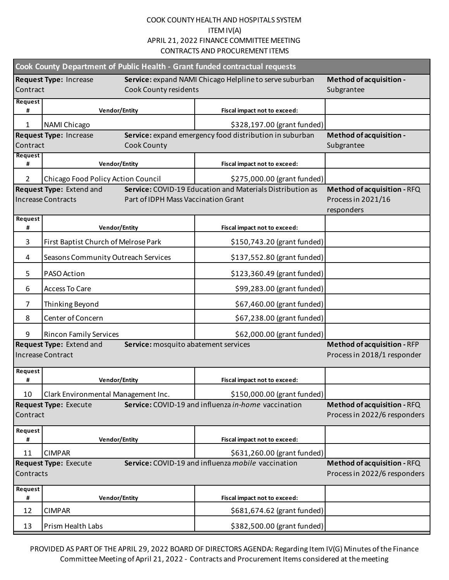| Cook County Department of Public Health - Grant funded contractual requests |                                                                                              |                                                           |                                                                   |  |  |  |
|-----------------------------------------------------------------------------|----------------------------------------------------------------------------------------------|-----------------------------------------------------------|-------------------------------------------------------------------|--|--|--|
| Contract                                                                    | <b>Request Type: Increase</b><br>Cook County residents                                       | Service: expand NAMI Chicago Helpline to serve suburban   | Method of acquisition -<br>Subgrantee                             |  |  |  |
| Request<br>#                                                                | <b>Vendor/Entity</b>                                                                         | Fiscal impact not to exceed:                              |                                                                   |  |  |  |
| $\mathbf{1}$                                                                | NAMI Chicago                                                                                 | \$328,197.00 (grant funded)                               |                                                                   |  |  |  |
|                                                                             | <b>Request Type: Increase</b>                                                                | Service: expand emergency food distribution in suburban   | Method of acquisition -                                           |  |  |  |
| Contract                                                                    | Cook County                                                                                  |                                                           | Subgrantee                                                        |  |  |  |
| <b>Request</b><br>#                                                         | <b>Vendor/Entity</b>                                                                         | Fiscal impact not to exceed:                              |                                                                   |  |  |  |
| $\overline{2}$                                                              | Chicago Food Policy Action Council                                                           | \$275,000.00 (grant funded)                               |                                                                   |  |  |  |
|                                                                             | Request Type: Extend and<br><b>Increase Contracts</b><br>Part of IDPH Mass Vaccination Grant | Service: COVID-19 Education and Materials Distribution as | Method of acquisition - RFQ<br>Process in 2021/16<br>responders   |  |  |  |
| Request<br>#                                                                | <b>Vendor/Entity</b>                                                                         | Fiscal impact not to exceed:                              |                                                                   |  |  |  |
| 3                                                                           | First Baptist Church of Melrose Park                                                         | \$150,743.20 (grant funded)                               |                                                                   |  |  |  |
| 4                                                                           | Seasons Community Outreach Services                                                          | \$137,552.80 (grant funded)                               |                                                                   |  |  |  |
| 5                                                                           | PASO Action                                                                                  | \$123,360.49 (grant funded)                               |                                                                   |  |  |  |
| 6                                                                           | <b>Access To Care</b>                                                                        | \$99,283.00 (grant funded)                                |                                                                   |  |  |  |
| $\overline{7}$                                                              | Thinking Beyond                                                                              | \$67,460.00 (grant funded)                                |                                                                   |  |  |  |
| 8                                                                           | Center of Concern                                                                            | \$67,238.00 (grant funded)                                |                                                                   |  |  |  |
| 9                                                                           | <b>Rincon Family Services</b>                                                                | \$62,000.00 (grant funded)                                |                                                                   |  |  |  |
|                                                                             | Request Type: Extend and<br>Service: mosquito abatement services<br><b>Increase Contract</b> |                                                           | <b>Method of acquisition - RFP</b><br>Process in 2018/1 responder |  |  |  |
| Request<br>#                                                                | <b>Vendor/Entity</b>                                                                         | Fiscal impact not to exceed:                              |                                                                   |  |  |  |
| 10                                                                          | Clark Environmental Management Inc.                                                          | \$150,000.00 (grant funded)                               |                                                                   |  |  |  |
| Contract                                                                    | <b>Request Type: Execute</b>                                                                 | Service: COVID-19 and influenza in-home vaccination       | Method of acquisition - RFQ<br>Process in 2022/6 responders       |  |  |  |
| Request<br>#                                                                | <b>Vendor/Entity</b>                                                                         | Fiscal impact not to exceed:                              |                                                                   |  |  |  |
| 11                                                                          | <b>CIMPAR</b>                                                                                | \$631,260.00 (grant funded)                               |                                                                   |  |  |  |
| Contracts                                                                   | <b>Request Type: Execute</b>                                                                 | Service: COVID-19 and influenza mobile vaccination        | Method of acquisition - RFQ<br>Process in 2022/6 responders       |  |  |  |
| Request<br>#                                                                | <b>Vendor/Entity</b>                                                                         | Fiscal impact not to exceed:                              |                                                                   |  |  |  |
| 12                                                                          | <b>CIMPAR</b>                                                                                | \$681,674.62 (grant funded)                               |                                                                   |  |  |  |
| 13                                                                          | Prism Health Labs                                                                            | \$382,500.00 (grant funded)                               |                                                                   |  |  |  |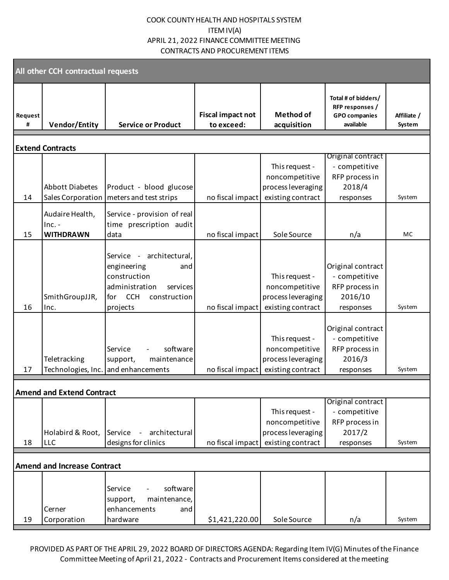| All other CCH contractual requests |                                                 |                                                                                                                                        |                                        |                                                                             |                                                                              |                       |  |
|------------------------------------|-------------------------------------------------|----------------------------------------------------------------------------------------------------------------------------------------|----------------------------------------|-----------------------------------------------------------------------------|------------------------------------------------------------------------------|-----------------------|--|
| Request<br>#                       | <b>Vendor/Entity</b>                            | <b>Service or Product</b>                                                                                                              | <b>Fiscal impact not</b><br>to exceed: | <b>Method of</b><br>acquisition                                             | Total # of bidders/<br>RFP responses /<br><b>GPO</b> companies<br>available  | Affiliate /<br>System |  |
|                                    | <b>Extend Contracts</b>                         |                                                                                                                                        |                                        |                                                                             |                                                                              |                       |  |
| 14                                 | <b>Abbott Diabetes</b>                          | Product - blood glucose<br>Sales Corporation   meters and test strips                                                                  | no fiscal impact                       | This request -<br>noncompetitive<br>process leveraging<br>existing contract | Original contract<br>- competitive<br>RFP process in<br>2018/4<br>responses  | System                |  |
| 15                                 | Audaire Health,<br>$Inc. -$<br><b>WITHDRAWN</b> | Service - provision of real<br>time prescription audit<br>data                                                                         | no fiscal impact                       | Sole Source                                                                 | n/a                                                                          | MC                    |  |
| 16                                 | SmithGroupJJR,<br>Inc.                          | - architectural,<br>Service<br>engineering<br>and<br>construction<br>administration<br>services<br>for CCH<br>construction<br>projects | no fiscal impact                       | This request -<br>noncompetitive<br>process leveraging<br>existing contract | Original contract<br>- competitive<br>RFP process in<br>2016/10<br>responses | System                |  |
| 17                                 | Teletracking                                    | software<br>Service<br>maintenance<br>support,<br>Technologies, Inc. and enhancements                                                  | no fiscal impact                       | This request -<br>noncompetitive<br>process leveraging<br>existing contract | Original contract<br>- competitive<br>RFP process in<br>2016/3<br>responses  | System                |  |
|                                    | <b>Amend and Extend Contract</b>                |                                                                                                                                        |                                        |                                                                             |                                                                              |                       |  |
| 18                                 | Holabird & Root,<br>LLC                         | - architectural<br>Service<br>designs for clinics                                                                                      | no fiscal impact                       | This request -<br>noncompetitive<br>process leveraging<br>existing contract | Original contract<br>- competitive<br>RFP process in<br>2017/2<br>responses  | System                |  |
| <b>Amend and Increase Contract</b> |                                                 |                                                                                                                                        |                                        |                                                                             |                                                                              |                       |  |
| 19                                 | Cerner<br>Corporation                           | software<br>Service<br>maintenance,<br>support,<br>enhancements<br>and<br>hardware                                                     | \$1,421,220.00                         | Sole Source                                                                 | n/a                                                                          | System                |  |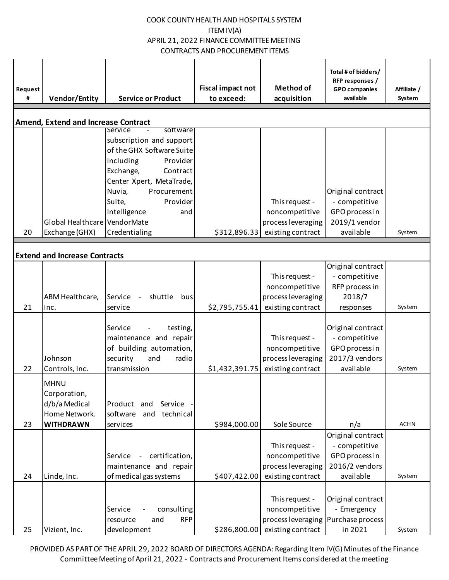| Request<br># | <b>Vendor/Entity</b>                                                              | <b>Service or Product</b>                                                                                                                                                                                                        | <b>Fiscal impact not</b><br>to exceed: | <b>Method of</b><br>acquisition                                                                | Total # of bidders/<br>RFP responses /<br><b>GPO</b> companies<br>available         | Affiliate /<br>System |
|--------------|-----------------------------------------------------------------------------------|----------------------------------------------------------------------------------------------------------------------------------------------------------------------------------------------------------------------------------|----------------------------------------|------------------------------------------------------------------------------------------------|-------------------------------------------------------------------------------------|-----------------------|
|              | <b>Amend, Extend and Increase Contract</b>                                        |                                                                                                                                                                                                                                  |                                        |                                                                                                |                                                                                     |                       |
|              |                                                                                   | software<br>Service<br>subscription and support<br>of the GHX Software Suite<br>including<br>Provider<br>Exchange,<br>Contract<br>Center Xpert, MetaTrade,<br>Nuvia,<br>Procurement<br>Suite,<br>Provider<br>Intelligence<br>and |                                        | This request -<br>noncompetitive                                                               | Original contract<br>- competitive<br>GPO process in                                |                       |
|              | Global Healthcare VendorMate                                                      |                                                                                                                                                                                                                                  |                                        | process leveraging                                                                             | 2019/1 vendor                                                                       |                       |
| 20           | Exchange (GHX)                                                                    | Credentialing                                                                                                                                                                                                                    | \$312,896.33                           | existing contract                                                                              | available                                                                           | System                |
|              | <b>Extend and Increase Contracts</b>                                              |                                                                                                                                                                                                                                  |                                        |                                                                                                |                                                                                     |                       |
| 21           | ABM Healthcare,<br>Inc.                                                           | shuttle<br>Service<br>bus<br>service                                                                                                                                                                                             | \$2,795,755.41                         | This request -<br>noncompetitive<br>process leveraging<br>existing contract                    | Original contract<br>- competitive<br>RFP process in<br>2018/7<br>responses         | System                |
| 22           | Johnson<br>Controls, Inc.                                                         | Service<br>testing,<br>maintenance and repair<br>of building automation,<br>security<br>and<br>radio<br>transmission                                                                                                             | \$1,432,391.75                         | This request -<br>noncompetitive<br>process leveraging<br>existing contract                    | Original contract<br>- competitive<br>GPO process in<br>2017/3 vendors<br>available | System                |
| 23           | <b>MHNU</b><br>Corporation,<br>d/b/a Medical<br>Home Network.<br><b>WITHDRAWN</b> | Product and Service<br>and<br>technical<br>software<br>services                                                                                                                                                                  | \$984,000.00                           | Sole Source                                                                                    | n/a                                                                                 | <b>ACHN</b>           |
| 24           | Linde, Inc.                                                                       | - certification,<br>Service<br>maintenance and repair<br>of medical gas systems                                                                                                                                                  | \$407,422.00                           | This request -<br>noncompetitive<br>process leveraging<br>existing contract                    | Original contract<br>- competitive<br>GPO process in<br>2016/2 vendors<br>available | System                |
| 25           | Vizient, Inc.                                                                     | consulting<br>Service<br><b>RFP</b><br>and<br>resource<br>development                                                                                                                                                            | \$286,800.00                           | This request -<br>noncompetitive<br>process leveraging   Purchase process<br>existing contract | Original contract<br>- Emergency<br>in 2021                                         | System                |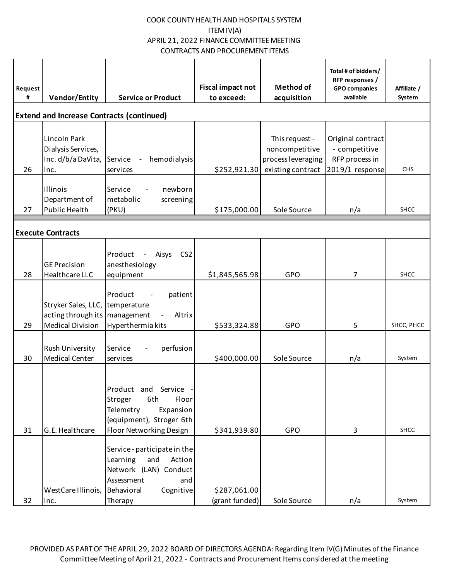| Request<br># | <b>Vendor/Entity</b>                                                              | <b>Service or Product</b>                                                                                                                     | <b>Fiscal impact not</b><br>to exceed: | <b>Method of</b><br>acquisition                                             | Total # of bidders/<br>RFP responses /<br><b>GPO</b> companies<br>available | Affiliate /<br>System |
|--------------|-----------------------------------------------------------------------------------|-----------------------------------------------------------------------------------------------------------------------------------------------|----------------------------------------|-----------------------------------------------------------------------------|-----------------------------------------------------------------------------|-----------------------|
|              |                                                                                   | <b>Extend and Increase Contracts (continued)</b>                                                                                              |                                        |                                                                             |                                                                             |                       |
| 26           | Lincoln Park<br>Dialysis Services,<br>Inc. d/b/a DaVita,<br>Inc.                  | hemodialysis<br>Service<br>services                                                                                                           | \$252,921.30                           | This request -<br>noncompetitive<br>process leveraging<br>existing contract | Original contract<br>- competitive<br>RFP process in<br>2019/1 response     | <b>CHS</b>            |
| 27           | Illinois<br>Department of<br><b>Public Health</b>                                 | Service<br>newborn<br>metabolic<br>screening<br>(PKU)                                                                                         | \$175,000.00                           | Sole Source                                                                 | n/a                                                                         | <b>SHCC</b>           |
|              | <b>Execute Contracts</b>                                                          |                                                                                                                                               |                                        |                                                                             |                                                                             |                       |
| 28           | <b>GE Precision</b><br>Healthcare LLC                                             | CS <sub>2</sub><br>Product<br>Aisys<br>$\overline{\phantom{a}}$<br>anesthesiology<br>equipment                                                | \$1,845,565.98                         | <b>GPO</b>                                                                  | 7                                                                           | <b>SHCC</b>           |
| 29           | Stryker Sales, LLC,<br>acting through its   management<br><b>Medical Division</b> | Product<br>patient<br>temperature<br>Altrix<br>Hyperthermia kits                                                                              | \$533,324.88                           | <b>GPO</b>                                                                  | 5                                                                           | SHCC, PHCC            |
| 30           | Rush University<br><b>Medical Center</b>                                          | Service<br>perfusion<br>services                                                                                                              | \$400,000.00                           | Sole Source                                                                 | n/a                                                                         | System                |
| 31           | G.E. Healthcare                                                                   | Product and Service<br>Stroger<br>6th<br>Floor<br>Telemetry<br>Expansion<br>(equipment), Stroger 6th<br>Floor Networking Design               | \$341,939.80                           | <b>GPO</b>                                                                  | 3                                                                           | SHCC                  |
| 32           | WestCare Illinois,<br>Inc.                                                        | Service - participate in the<br>Learning<br>and<br>Action<br>Network (LAN) Conduct<br>Assessment<br>and<br>Cognitive<br>Behavioral<br>Therapy | \$287,061.00<br>(grant funded)         | Sole Source                                                                 | n/a                                                                         | System                |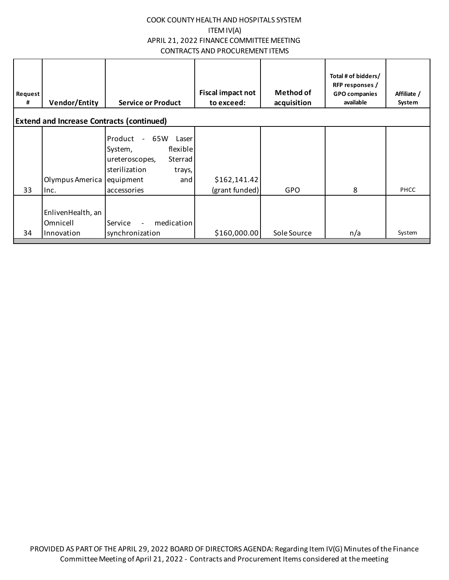| Request<br># | <b>Vendor/Entity</b>                        | <b>Service or Product</b>                                                                                                                           | Fiscal impact not<br>to exceed: | <b>Method of</b><br>acquisition | Total # of bidders/<br>RFP responses /<br><b>GPO companies</b><br>available | Affiliate /<br>System |
|--------------|---------------------------------------------|-----------------------------------------------------------------------------------------------------------------------------------------------------|---------------------------------|---------------------------------|-----------------------------------------------------------------------------|-----------------------|
|              |                                             | <b>Extend and Increase Contracts (continued)</b>                                                                                                    |                                 |                                 |                                                                             |                       |
| 33           | Olympus America<br>Inc.                     | Product<br>65W<br>$\sim$<br>Laser<br>flexible<br>System,<br>Sterrad<br>ureteroscopes,<br>sterilization<br>trays,<br>equipment<br>and<br>accessories | \$162,141.42<br>(grant funded)  | <b>GPO</b>                      | 8                                                                           | PHCC                  |
| 34           | EnlivenHealth, an<br>Omnicell<br>Innovation | medication<br>Service<br>$\overline{\phantom{a}}$<br>synchronization                                                                                | \$160,000.00                    | Sole Source                     | n/a                                                                         | System                |